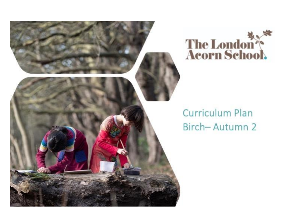



# **Curriculum Plan** Birch-Autumn 2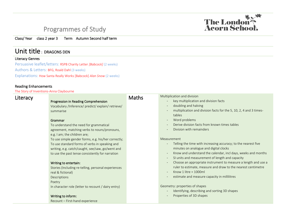# The London

## Programmes of Study

Class/ Year class 2 year 3 Term Autumn Second half term

### Unit title : DRAGONS DEN

#### Literacy Genres

Persuasive leaflet/letters: RSPB Charity Letter *[Babcock]* (2 weeks) Authors & Letters: BFG, Roald Dahl (3 weeks) Explanations: How Santa Really Works [Babcock] *Alan Snow* (2 weeks)

#### Reading Enhancements

The Story of Inventions-Anna Claybourne

| Literacy |                                                     | <b>Maths</b> | Multiplication and division                                                                    |
|----------|-----------------------------------------------------|--------------|------------------------------------------------------------------------------------------------|
|          | Progression in Reading Comprehension                |              | key multiplication and division facts                                                          |
|          | Vocabulary /Inference/ predict/ explain/ retrieve/  |              | doubling and halving<br>$\overline{\phantom{a}}$                                               |
|          | summarise                                           |              | multiplication and division facts for the 5, 10, 2, 4 and 3 times-<br>$\overline{\phantom{a}}$ |
|          |                                                     |              | tables                                                                                         |
|          | Grammar                                             |              | Word problems<br>$\overline{\phantom{a}}$                                                      |
|          | To understand the need for grammatical              |              | Derive division facts from known times tables<br>$\overline{\phantom{m}}$                      |
|          | agreement, matching verbs to nouns/pronouns,        |              | Division with remainders<br>$\overline{\phantom{a}}$                                           |
|          | e.g. I am; the children are;                        |              |                                                                                                |
|          | To use simple gender forms, e.g. his/her correctly; |              | Measurement                                                                                    |
|          | To use standard forms of verbs in speaking and      |              | Telling the time with increasing accuracy; to the nearest five                                 |
|          | writing, e.g. catch/caught, see/saw, go/went and    |              | minutes on analogue and digital clocks                                                         |
|          | to use the past tense consistently for narration    |              | Know and understand the calendar, incl days, weeks and months<br>$\overline{\phantom{a}}$      |
|          |                                                     |              | SI units and measurement of length and capacity<br>$\overline{\phantom{a}}$                    |
|          | Writing to entertain:                               |              | Choose an appropriate instrument to measure a length and use a<br>$\overline{\phantom{a}}$     |
|          | Stories (Including re-telling, personal experiences |              | ruler to estimate, measure and draw to the nearest centimetre                                  |
|          | real & fictional)                                   |              | Know 1 litre = $1000$ ml<br>$\overline{\phantom{a}}$                                           |
|          | Descriptions                                        |              | estimate and measure capacity in millilitres<br>$\overline{\phantom{a}}$                       |
|          | Poetry                                              |              |                                                                                                |
|          | In character role (letter to recount / dairy entry) |              | Geometry: properties of shapes                                                                 |
|          |                                                     |              | Identifying, describing and sorting 3D shapes<br>$\overline{\phantom{a}}$                      |
|          | Writing to inform:                                  |              | Properties of 3D shapes                                                                        |
|          | Recount - First-hand experience                     |              |                                                                                                |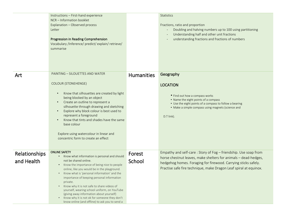|                             | Instructions - First-hand experience<br>NCR - Information booklet<br>Explanation - Observed process<br>Letter<br>Progression in Reading Comprehension<br>Vocabulary /Inference/ predict/ explain/ retrieve/<br>summarise                                                                                                                                                                                                                                                                                                                                       |                   | Statistics<br>Fractions, ratio and proportion<br>Doubling and halving numbers up to 100 using partitioning<br>Understanding half and other unit fractions<br>understanding fractions and fractions of numbers                                                             |
|-----------------------------|----------------------------------------------------------------------------------------------------------------------------------------------------------------------------------------------------------------------------------------------------------------------------------------------------------------------------------------------------------------------------------------------------------------------------------------------------------------------------------------------------------------------------------------------------------------|-------------------|---------------------------------------------------------------------------------------------------------------------------------------------------------------------------------------------------------------------------------------------------------------------------|
| Art                         | <b>PAINTING - SILOUETTES AND WATER</b><br><b>COLOUR (STONEHENGE)</b><br>Know that silhouettes are created by light<br>$\bullet$<br>being blocked by an object<br>Create an outline to represent a<br>$\bullet$<br>silhouette through drawing and sketching<br>Explore why block colour is best used to<br>represent a foreground<br>Know that tints and shades have the same<br>base colour<br>Explore using watercolour in linear and<br>concentric form to create an effect                                                                                  | <b>Humanities</b> | Geography<br><b>LOCATION</b><br>• Find out how a compass works<br>• Name the eight points of a compass<br>• Use the eight points of a compass to follow a bearing<br>• Make a simple compass using magnets (science and<br>D.T link).                                     |
| Relationships<br>and Health | <b>ONLINE SAFETY</b><br>Know what information is personal and should<br>not be shared online.<br>Know the importance of being nice to people<br>online, like you would be in the playground.<br>Know what is 'personal information' and the<br>importance of keeping personal information<br>private.<br>Know why it is not safe to share videos of<br>$\bullet$<br>yourself, wearing school uniform, on YouTube<br>(giving away information about yourself)<br>Know why it is not ok for someone they don't<br>know online (and offline) to ask you to send a | Forest<br>School  | Empathy and self-care: Story of Fog - friendship. Use soap from<br>horse chestnut leaves, make shelters for animals - dead-hedges,<br>hedgehog homes. Foraging for firewood. Carrying sticks safely.<br>Practise safe fire technique, make Dragon Leaf spiral at equinox. |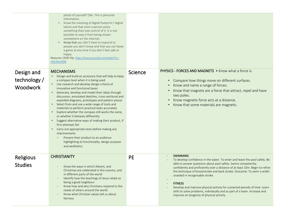|                                              | photo of yourself? [No. This is personal<br>information.<br>Know the meaning of digital footprint / digital<br>tattoo and that once a person posts<br>something they lose control of it. It is not<br>possible to stop it from being shown<br>somewhere on the internet.<br>Know that you don't have to respond to<br>people you don't know and that you can leave<br>a game at any time if you don't feel safe or<br>happy.<br>Resource: CEOP Clip https://www.youtube.com/watch?v=-<br>nMUbHuffO8                                                                                                                                                                                                                                                                                                                                                                                                 |                |                                                                                                                                                                                                                                                                                                                                                                                                                                                                                                                                                                                                                        |
|----------------------------------------------|-----------------------------------------------------------------------------------------------------------------------------------------------------------------------------------------------------------------------------------------------------------------------------------------------------------------------------------------------------------------------------------------------------------------------------------------------------------------------------------------------------------------------------------------------------------------------------------------------------------------------------------------------------------------------------------------------------------------------------------------------------------------------------------------------------------------------------------------------------------------------------------------------------|----------------|------------------------------------------------------------------------------------------------------------------------------------------------------------------------------------------------------------------------------------------------------------------------------------------------------------------------------------------------------------------------------------------------------------------------------------------------------------------------------------------------------------------------------------------------------------------------------------------------------------------------|
| Design and<br>technology/<br><b>Woodwork</b> | <b>MECHANISMS</b><br>• Design and build an accessory that will help to keep<br>a compass level when it is being used.<br>• Use research and develop design criteria of<br>innovative and functional bases<br>Generate, develop and model their ideas through<br>$\bullet$<br>discussion, annotated sketches, cross-sectional and<br>exploded diagrams, prototypes and pattern pieces<br>Select from and use a wide range of tools and<br>$\bullet$<br>materials to perform practical tasks accurately<br>Explore whether the compass still works the same,<br>$\bullet$<br>or whether it behaves differently<br>Suggest alternative ways of making their product, if<br>$\bullet$<br>first attempts fail<br>Carry out appropriate tests before making any<br>$\bullet$<br>improvements<br>Present their product to an audience<br>highlighting its functionality, design purpose<br>and aesthetics. | <b>Science</b> | <b>PHYSICS - FORCES AND MAGNETS • Know what a force is.</b><br>Compare how things move on different surfaces.<br>$\bullet$<br>Know and name a range of forces.<br>Know that magnets are a force that attract, repel and have<br>$\bullet$<br>two poles.<br>Know magnetic force acts at a distance.<br>Know that some materials are magnetic.                                                                                                                                                                                                                                                                           |
| Religious<br><b>Studies</b>                  | <b>CHRISTIANITY</b><br>Know the ways in which Advent, and<br>Christmas are celebrated in this country, and<br>in different parts of the world<br>Identify how the teachings of Jesus relate to<br>being a good neighbour.<br>Know how and why Christians respond to the<br>needs of others around the world.<br>Know what Christian values tell us about<br>fairness.                                                                                                                                                                                                                                                                                                                                                                                                                                                                                                                               | <b>PE</b>      | <b>SWIMMING</b><br>To develop confidence in the water. To enter and leave the pool safely. Be<br>able to answer questions about pool safety. Swims competently,<br>confidently and proficiently over a distance of at least 10m. Begin to refine<br>the technique of breaststroke and back stroke. Outcome: To swim a width<br>unaided in recognisable stroke.<br><b>FITNESS</b><br>$\overline{\phantom{a}}$<br>Develop and improve physical activity for sustained periods of time. Learn<br>skills to solve problems, individually and as part of a team. Increase and<br>improve on longevity of physical activity. |